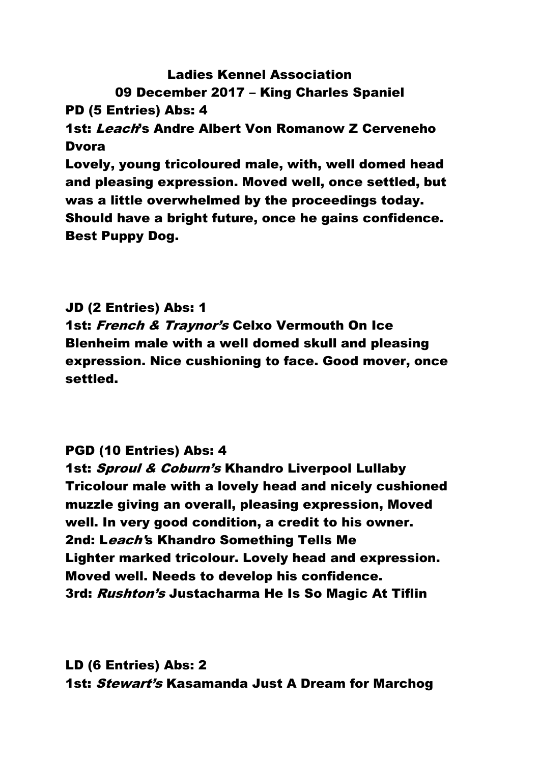# Ladies Kennel Association 09 December 2017 – King Charles Spaniel PD (5 Entries) Abs: 4 1st: Leach's Andre Albert Von Romanow Z Cerveneho **Dvora** Lovely, young tricoloured male, with, well domed head and pleasing expression. Moved well, once settled, but was a little overwhelmed by the proceedings today. Should have a bright future, once he gains confidence.

Best Puppy Dog.

JD (2 Entries) Abs: 1 1st: French & Traynor's Celxo Vermouth On Ice Blenheim male with a well domed skull and pleasing expression. Nice cushioning to face. Good mover, once settled.

# PGD (10 Entries) Abs: 4

1st: Sproul & Coburn's Khandro Liverpool Lullaby Tricolour male with a lovely head and nicely cushioned muzzle giving an overall, pleasing expression, Moved well. In very good condition, a credit to his owner. 2nd: Leach's Khandro Something Tells Me Lighter marked tricolour. Lovely head and expression. Moved well. Needs to develop his confidence. 3rd: Rushton's Justacharma He Is So Magic At Tiflin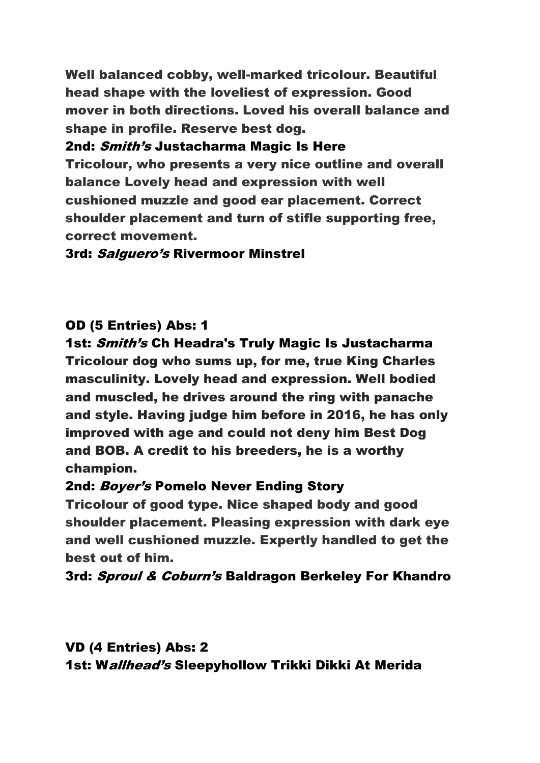Well balanced cobby, well-marked tricolour. Beautiful head shape with the loveliest of expression. Good mover in both directions. Loved his overall balance and shape in profile. Reserve best dog.

2nd: Smith's Justacharma Magic Is Here Tricolour, who presents a very nice outline and overall balance Lovely head and expression with well cushioned muzzle and good ear placement. Correct shoulder placement and turn of stifle supporting free, correct movement.

3rd: Salguero's Rivermoor Minstrel

# OD (5 Entries) Abs: 1

1st: Smith's Ch Headra's Truly Magic Is Justacharma Tricolour dog who sums up, for me, true King Charles masculinity. Lovely head and expression. Well bodied and muscled, he drives around the ring with panache and style. Having judge him before in 2016, he has only improved with age and could not deny him Best Dog and BOB. A credit to his breeders, he is a worthy champion.

### 2nd: Boyer's Pomelo Never Ending Story

Tricolour of good type. Nice shaped body and good shoulder placement. Pleasing expression with dark eye and well cushioned muzzle. Expertly handled to get the best out of him.

3rd: Sproul & Coburn's Baldragon Berkeley For Khandro

VD (4 Entries) Abs: 2 1st: Wallhead's Sleepyhollow Trikki Dikki At Merida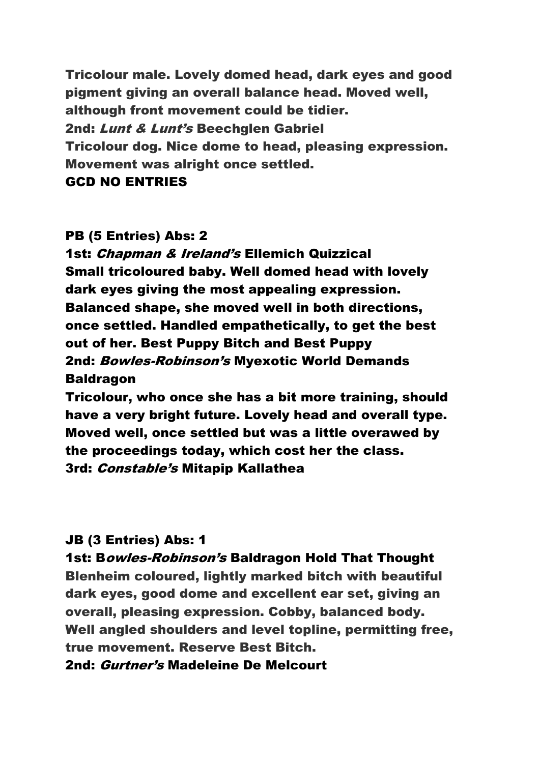Tricolour male. Lovely domed head, dark eyes and good pigment giving an overall balance head. Moved well, although front movement could be tidier. 2nd: Lunt & Lunt's Beechglen Gabriel Tricolour dog. Nice dome to head, pleasing expression. Movement was alright once settled.

#### GCD NO ENTRIES

#### PB (5 Entries) Abs: 2

1st: Chapman & Ireland's Ellemich Quizzical Small tricoloured baby. Well domed head with lovely dark eyes giving the most appealing expression. Balanced shape, she moved well in both directions, once settled. Handled empathetically, to get the best out of her. Best Puppy Bitch and Best Puppy 2nd: Bowles-Robinson's Myexotic World Demands **Baldragon** 

Tricolour, who once she has a bit more training, should have a very bright future. Lovely head and overall type. Moved well, once settled but was a little overawed by the proceedings today, which cost her the class. 3rd: Constable's Mitapip Kallathea

#### JB (3 Entries) Abs: 1

1st: Bowles-Robinson's Baldragon Hold That Thought

Blenheim coloured, lightly marked bitch with beautiful dark eyes, good dome and excellent ear set, giving an overall, pleasing expression. Cobby, balanced body. Well angled shoulders and level topline, permitting free, true movement. Reserve Best Bitch.

#### 2nd: Gurtner's Madeleine De Melcourt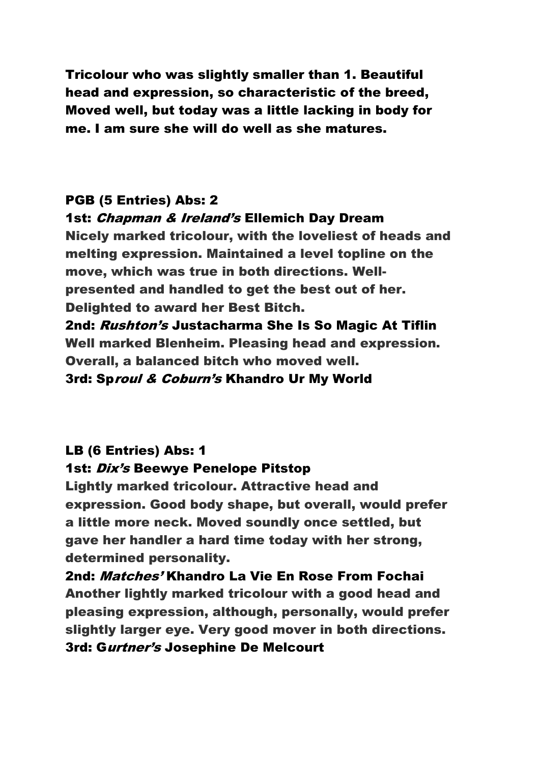Tricolour who was slightly smaller than 1. Beautiful head and expression, so characteristic of the breed, Moved well, but today was a little lacking in body for me. I am sure she will do well as she matures.

# PGB (5 Entries) Abs: 2

### 1st: Chapman & Ireland's Ellemich Day Dream

Nicely marked tricolour, with the loveliest of heads and melting expression. Maintained a level topline on the move, which was true in both directions. Wellpresented and handled to get the best out of her. Delighted to award her Best Bitch. 2nd: Rushton's Justacharma She Is So Magic At Tiflin

Well marked Blenheim. Pleasing head and expression. Overall, a balanced bitch who moved well.

3rd: Sproul & Coburn's Khandro Ur My World

### LB (6 Entries) Abs: 1

### 1st: *Dix's* Beewye Penelope Pitstop

Lightly marked tricolour. Attractive head and expression. Good body shape, but overall, would prefer a little more neck. Moved soundly once settled, but gave her handler a hard time today with her strong, determined personality.

2nd: Matches' Khandro La Vie En Rose From Fochai Another lightly marked tricolour with a good head and pleasing expression, although, personally, would prefer slightly larger eye. Very good mover in both directions. 3rd: Gurtner's Josephine De Melcourt